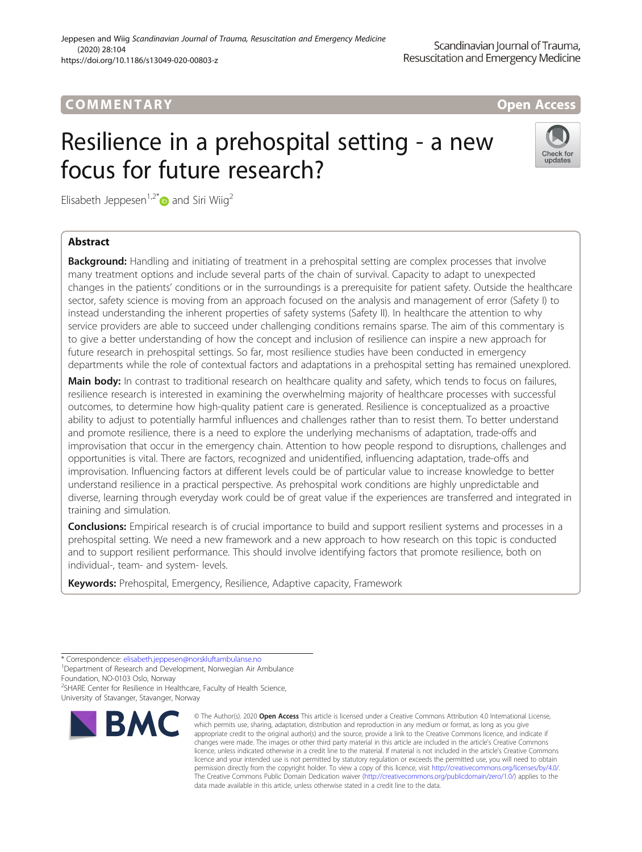# COMM EN TARY Open Access

# Resilience in a prehospital setting - a new focus for future research?



Elisabeth Jeppesen<sup>1,2\*</sup> and Siri Wiig<sup>2</sup>

## Abstract

**Background:** Handling and initiating of treatment in a prehospital setting are complex processes that involve many treatment options and include several parts of the chain of survival. Capacity to adapt to unexpected changes in the patients' conditions or in the surroundings is a prerequisite for patient safety. Outside the healthcare sector, safety science is moving from an approach focused on the analysis and management of error (Safety I) to instead understanding the inherent properties of safety systems (Safety II). In healthcare the attention to why service providers are able to succeed under challenging conditions remains sparse. The aim of this commentary is to give a better understanding of how the concept and inclusion of resilience can inspire a new approach for future research in prehospital settings. So far, most resilience studies have been conducted in emergency departments while the role of contextual factors and adaptations in a prehospital setting has remained unexplored.

Main body: In contrast to traditional research on healthcare quality and safety, which tends to focus on failures, resilience research is interested in examining the overwhelming majority of healthcare processes with successful outcomes, to determine how high-quality patient care is generated. Resilience is conceptualized as a proactive ability to adjust to potentially harmful influences and challenges rather than to resist them. To better understand and promote resilience, there is a need to explore the underlying mechanisms of adaptation, trade-offs and improvisation that occur in the emergency chain. Attention to how people respond to disruptions, challenges and opportunities is vital. There are factors, recognized and unidentified, influencing adaptation, trade-offs and improvisation. Influencing factors at different levels could be of particular value to increase knowledge to better understand resilience in a practical perspective. As prehospital work conditions are highly unpredictable and diverse, learning through everyday work could be of great value if the experiences are transferred and integrated in training and simulation.

**Conclusions:** Empirical research is of crucial importance to build and support resilient systems and processes in a prehospital setting. We need a new framework and a new approach to how research on this topic is conducted and to support resilient performance. This should involve identifying factors that promote resilience, both on individual-, team- and system- levels.

Keywords: Prehospital, Emergency, Resilience, Adaptive capacity, Framework

<sup>2</sup>SHARE Center for Resilience in Healthcare, Faculty of Health Science, University of Stavanger, Stavanger, Norway



<sup>©</sup> The Author(s), 2020 **Open Access** This article is licensed under a Creative Commons Attribution 4.0 International License, which permits use, sharing, adaptation, distribution and reproduction in any medium or format, as long as you give appropriate credit to the original author(s) and the source, provide a link to the Creative Commons licence, and indicate if changes were made. The images or other third party material in this article are included in the article's Creative Commons licence, unless indicated otherwise in a credit line to the material. If material is not included in the article's Creative Commons licence and your intended use is not permitted by statutory regulation or exceeds the permitted use, you will need to obtain permission directly from the copyright holder. To view a copy of this licence, visit [http://creativecommons.org/licenses/by/4.0/.](http://creativecommons.org/licenses/by/4.0/) The Creative Commons Public Domain Dedication waiver [\(http://creativecommons.org/publicdomain/zero/1.0/](http://creativecommons.org/publicdomain/zero/1.0/)) applies to the data made available in this article, unless otherwise stated in a credit line to the data.

<sup>\*</sup> Correspondence: [elisabeth.jeppesen@norskluftambulanse.no](mailto:elisabeth.jeppesen@norskluftambulanse.no) <sup>1</sup>

<sup>&</sup>lt;sup>1</sup>Department of Research and Development, Norwegian Air Ambulance Foundation, NO-0103 Oslo, Norway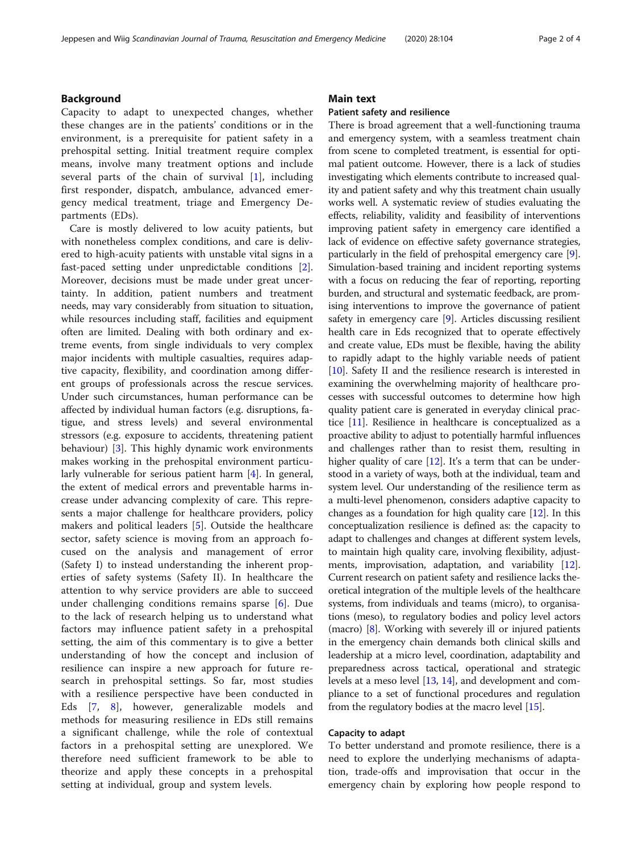### Background

Capacity to adapt to unexpected changes, whether these changes are in the patients' conditions or in the environment, is a prerequisite for patient safety in a prehospital setting. Initial treatment require complex means, involve many treatment options and include several parts of the chain of survival [\[1](#page-2-0)], including first responder, dispatch, ambulance, advanced emergency medical treatment, triage and Emergency Departments (EDs).

Care is mostly delivered to low acuity patients, but with nonetheless complex conditions, and care is delivered to high-acuity patients with unstable vital signs in a fast-paced setting under unpredictable conditions [\[2](#page-2-0)]. Moreover, decisions must be made under great uncertainty. In addition, patient numbers and treatment needs, may vary considerably from situation to situation, while resources including staff, facilities and equipment often are limited. Dealing with both ordinary and extreme events, from single individuals to very complex major incidents with multiple casualties, requires adaptive capacity, flexibility, and coordination among different groups of professionals across the rescue services. Under such circumstances, human performance can be affected by individual human factors (e.g. disruptions, fatigue, and stress levels) and several environmental stressors (e.g. exposure to accidents, threatening patient behaviour) [\[3](#page-2-0)]. This highly dynamic work environments makes working in the prehospital environment particularly vulnerable for serious patient harm [\[4](#page-2-0)]. In general, the extent of medical errors and preventable harms increase under advancing complexity of care. This represents a major challenge for healthcare providers, policy makers and political leaders [\[5](#page-2-0)]. Outside the healthcare sector, safety science is moving from an approach focused on the analysis and management of error (Safety I) to instead understanding the inherent properties of safety systems (Safety II). In healthcare the attention to why service providers are able to succeed under challenging conditions remains sparse [\[6](#page-2-0)]. Due to the lack of research helping us to understand what factors may influence patient safety in a prehospital setting, the aim of this commentary is to give a better understanding of how the concept and inclusion of resilience can inspire a new approach for future research in prehospital settings. So far, most studies with a resilience perspective have been conducted in Eds [[7](#page-2-0), [8\]](#page-2-0), however, generalizable models and methods for measuring resilience in EDs still remains a significant challenge, while the role of contextual factors in a prehospital setting are unexplored. We therefore need sufficient framework to be able to theorize and apply these concepts in a prehospital setting at individual, group and system levels.

#### Main text

#### Patient safety and resilience

There is broad agreement that a well-functioning trauma and emergency system, with a seamless treatment chain from scene to completed treatment, is essential for optimal patient outcome. However, there is a lack of studies investigating which elements contribute to increased quality and patient safety and why this treatment chain usually works well. A systematic review of studies evaluating the effects, reliability, validity and feasibility of interventions improving patient safety in emergency care identified a lack of evidence on effective safety governance strategies, particularly in the field of prehospital emergency care [[9](#page-2-0)]. Simulation-based training and incident reporting systems with a focus on reducing the fear of reporting, reporting burden, and structural and systematic feedback, are promising interventions to improve the governance of patient safety in emergency care [[9](#page-2-0)]. Articles discussing resilient health care in Eds recognized that to operate effectively and create value, EDs must be flexible, having the ability to rapidly adapt to the highly variable needs of patient [[10](#page-2-0)]. Safety II and the resilience research is interested in examining the overwhelming majority of healthcare processes with successful outcomes to determine how high quality patient care is generated in everyday clinical practice [\[11](#page-2-0)]. Resilience in healthcare is conceptualized as a proactive ability to adjust to potentially harmful influences and challenges rather than to resist them, resulting in higher quality of care  $[12]$ . It's a term that can be understood in a variety of ways, both at the individual, team and system level. Our understanding of the resilience term as a multi-level phenomenon, considers adaptive capacity to changes as a foundation for high quality care [\[12\]](#page-2-0). In this conceptualization resilience is defined as: the capacity to adapt to challenges and changes at different system levels, to maintain high quality care, involving flexibility, adjustments, improvisation, adaptation, and variability [[12](#page-2-0)]. Current research on patient safety and resilience lacks theoretical integration of the multiple levels of the healthcare systems, from individuals and teams (micro), to organisations (meso), to regulatory bodies and policy level actors (macro) [[8\]](#page-2-0). Working with severely ill or injured patients in the emergency chain demands both clinical skills and leadership at a micro level, coordination, adaptability and preparedness across tactical, operational and strategic levels at a meso level [\[13,](#page-3-0) [14](#page-3-0)], and development and compliance to a set of functional procedures and regulation from the regulatory bodies at the macro level [[15](#page-3-0)].

#### Capacity to adapt

To better understand and promote resilience, there is a need to explore the underlying mechanisms of adaptation, trade-offs and improvisation that occur in the emergency chain by exploring how people respond to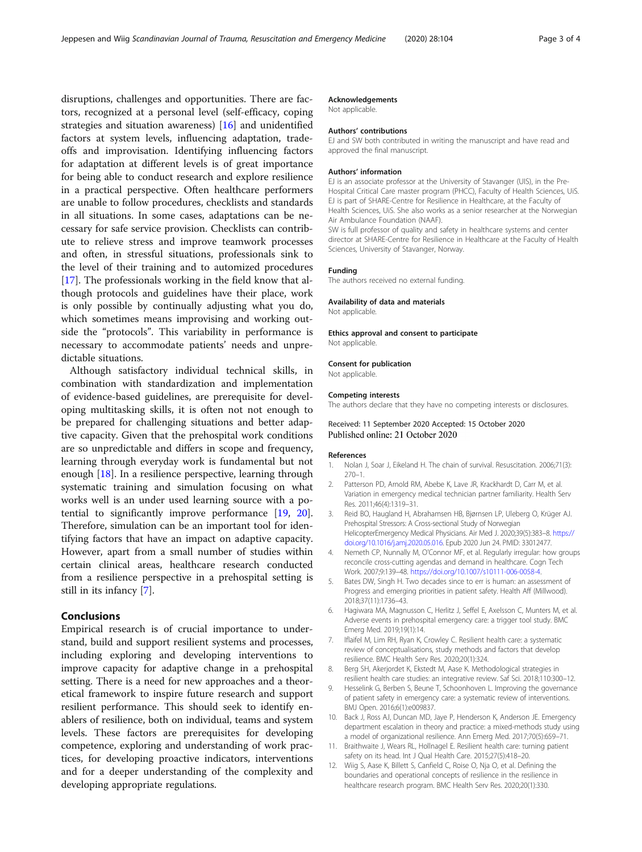<span id="page-2-0"></span>disruptions, challenges and opportunities. There are factors, recognized at a personal level (self-efficacy, coping strategies and situation awareness) [[16](#page-3-0)] and unidentified factors at system levels, influencing adaptation, tradeoffs and improvisation. Identifying influencing factors for adaptation at different levels is of great importance for being able to conduct research and explore resilience in a practical perspective. Often healthcare performers are unable to follow procedures, checklists and standards in all situations. In some cases, adaptations can be necessary for safe service provision. Checklists can contribute to relieve stress and improve teamwork processes and often, in stressful situations, professionals sink to the level of their training and to automized procedures [[17\]](#page-3-0). The professionals working in the field know that although protocols and guidelines have their place, work is only possible by continually adjusting what you do, which sometimes means improvising and working outside the "protocols". This variability in performance is necessary to accommodate patients' needs and unpredictable situations.

Although satisfactory individual technical skills, in combination with standardization and implementation of evidence-based guidelines, are prerequisite for developing multitasking skills, it is often not not enough to be prepared for challenging situations and better adaptive capacity. Given that the prehospital work conditions are so unpredictable and differs in scope and frequency, learning through everyday work is fundamental but not enough [\[18\]](#page-3-0). In a resilience perspective, learning through systematic training and simulation focusing on what works well is an under used learning source with a potential to significantly improve performance [[19](#page-3-0), [20](#page-3-0)]. Therefore, simulation can be an important tool for identifying factors that have an impact on adaptive capacity. However, apart from a small number of studies within certain clinical areas, healthcare research conducted from a resilience perspective in a prehospital setting is still in its infancy [7].

#### Conclusions

Empirical research is of crucial importance to understand, build and support resilient systems and processes, including exploring and developing interventions to improve capacity for adaptive change in a prehospital setting. There is a need for new approaches and a theoretical framework to inspire future research and support resilient performance. This should seek to identify enablers of resilience, both on individual, teams and system levels. These factors are prerequisites for developing competence, exploring and understanding of work practices, for developing proactive indicators, interventions and for a deeper understanding of the complexity and developing appropriate regulations.

#### Acknowledgements

Not applicable.

#### Authors' contributions

EJ and SW both contributed in writing the manuscript and have read and approved the final manuscript.

#### Authors' information

EJ is an associate professor at the University of Stavanger (UIS), in the Pre-Hospital Critical Care master program (PHCC), Faculty of Health Sciences, UiS. EJ is part of SHARE-Centre for Resilience in Healthcare, at the Faculty of Health Sciences, UiS. She also works as a senior researcher at the Norwegian Air Ambulance Foundation (NAAF).

SW is full professor of quality and safety in healthcare systems and center director at SHARE-Centre for Resilience in Healthcare at the Faculty of Health Sciences, University of Stavanger, Norway.

#### Funding

The authors received no external funding.

#### Availability of data and materials

Not applicable.

#### Ethics approval and consent to participate

Not applicable.

#### Consent for publication

Not applicable.

#### Competing interests

The authors declare that they have no competing interests or disclosures.

#### Received: 11 September 2020 Accepted: 15 October 2020 Published online: 21 October 2020

#### References

- 1. Nolan J, Soar J, Eikeland H. The chain of survival. Resuscitation. 2006;71(3): 270–1.
- 2. Patterson PD, Arnold RM, Abebe K, Lave JR, Krackhardt D, Carr M, et al. Variation in emergency medical technician partner familiarity. Health Serv Res. 2011;46(4):1319–31.
- 3. Reid BO, Haugland H, Abrahamsen HB, Bjørnsen LP, Uleberg O, Krüger AJ. Prehospital Stressors: A Cross-sectional Study of Norwegian HelicopterEmergency Medical Physicians. Air Med J. 2020;39(5):383–8. [https://](https://doi.org/10.1016/j.amj.2020.05.016) [doi.org/10.1016/j.amj.2020.05.016.](https://doi.org/10.1016/j.amj.2020.05.016) Epub 2020 Jun 24. PMID: 33012477.
- 4. Nemeth CP, Nunnally M, O'Connor MF, et al. Regularly irregular: how groups reconcile cross-cutting agendas and demand in healthcare. Cogn Tech Work. 2007;9:139–48. <https://doi.org/10.1007/s10111-006-0058-4>.
- 5. Bates DW, Singh H. Two decades since to err is human: an assessment of Progress and emerging priorities in patient safety. Health Aff (Millwood). 2018;37(11):1736–43.
- 6. Hagiwara MA, Magnusson C, Herlitz J, Seffel E, Axelsson C, Munters M, et al. Adverse events in prehospital emergency care: a trigger tool study. BMC Emerg Med. 2019;19(1):14.
- 7. Iflaifel M, Lim RH, Ryan K, Crowley C. Resilient health care: a systematic review of conceptualisations, study methods and factors that develop resilience. BMC Health Serv Res. 2020;20(1):324.
- 8. Berg SH, Akerjordet K, Ekstedt M, Aase K. Methodological strategies in resilient health care studies: an integrative review. Saf Sci. 2018;110:300–12.
- 9. Hesselink G, Berben S, Beune T, Schoonhoven L. Improving the governance of patient safety in emergency care: a systematic review of interventions. BMJ Open. 2016;6(1):e009837.
- 10. Back J, Ross AJ, Duncan MD, Jaye P, Henderson K, Anderson JE. Emergency department escalation in theory and practice: a mixed-methods study using a model of organizational resilience. Ann Emerg Med. 2017;70(5):659–71.
- 11. Braithwaite J, Wears RL, Hollnagel E. Resilient health care: turning patient safety on its head. Int J Qual Health Care. 2015;27(5):418–20.
- 12. Wiig S, Aase K, Billett S, Canfield C, Roise O, Nja O, et al. Defining the boundaries and operational concepts of resilience in the resilience in healthcare research program. BMC Health Serv Res. 2020;20(1):330.